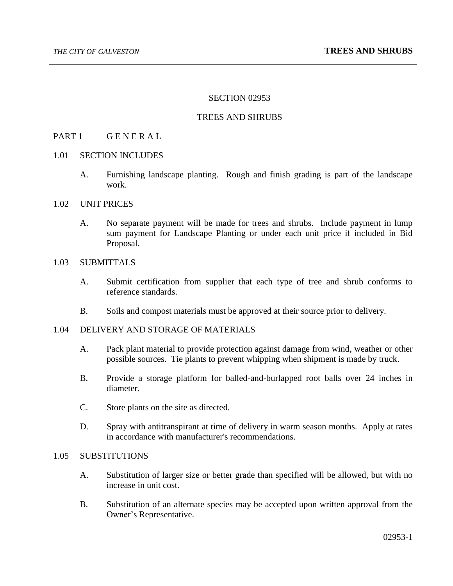## SECTION 02953

## TREES AND SHRUBS

# PART 1 GENERAL

#### 1.01 SECTION INCLUDES

A. Furnishing landscape planting. Rough and finish grading is part of the landscape work.

#### 1.02 UNIT PRICES

A. No separate payment will be made for trees and shrubs. Include payment in lump sum payment for Landscape Planting or under each unit price if included in Bid Proposal.

#### 1.03 SUBMITTALS

- A. Submit certification from supplier that each type of tree and shrub conforms to reference standards.
- B. Soils and compost materials must be approved at their source prior to delivery.

## 1.04 DELIVERY AND STORAGE OF MATERIALS

- A. Pack plant material to provide protection against damage from wind, weather or other possible sources. Tie plants to prevent whipping when shipment is made by truck.
- B. Provide a storage platform for balled-and-burlapped root balls over 24 inches in diameter.
- C. Store plants on the site as directed.
- D. Spray with antitranspirant at time of delivery in warm season months. Apply at rates in accordance with manufacturer's recommendations.

## 1.05 SUBSTITUTIONS

- A. Substitution of larger size or better grade than specified will be allowed, but with no increase in unit cost.
- B. Substitution of an alternate species may be accepted upon written approval from the Owner's Representative.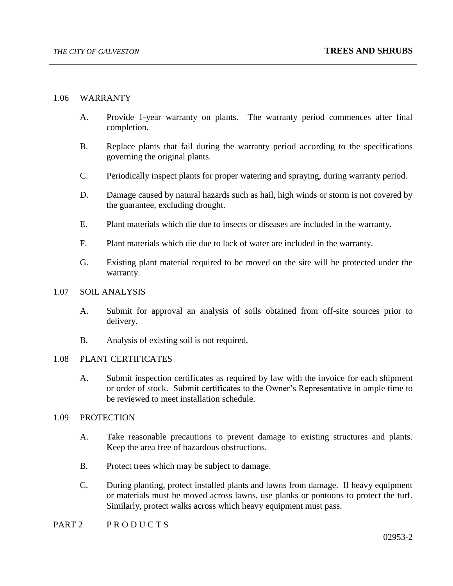# 1.06 WARRANTY

- A. Provide 1-year warranty on plants. The warranty period commences after final completion.
- B. Replace plants that fail during the warranty period according to the specifications governing the original plants.
- C. Periodically inspect plants for proper watering and spraying, during warranty period.
- D. Damage caused by natural hazards such as hail, high winds or storm is not covered by the guarantee, excluding drought.
- E. Plant materials which die due to insects or diseases are included in the warranty.
- F. Plant materials which die due to lack of water are included in the warranty.
- G. Existing plant material required to be moved on the site will be protected under the warranty.

#### 1.07 SOIL ANALYSIS

- A. Submit for approval an analysis of soils obtained from off-site sources prior to delivery.
- B. Analysis of existing soil is not required.

# 1.08 PLANT CERTIFICATES

A. Submit inspection certificates as required by law with the invoice for each shipment or order of stock. Submit certificates to the Owner's Representative in ample time to be reviewed to meet installation schedule.

## 1.09 PROTECTION

- A. Take reasonable precautions to prevent damage to existing structures and plants. Keep the area free of hazardous obstructions.
- B. Protect trees which may be subject to damage.
- C. During planting, protect installed plants and lawns from damage. If heavy equipment or materials must be moved across lawns, use planks or pontoons to protect the turf. Similarly, protect walks across which heavy equipment must pass.

# PART 2 PRODUCTS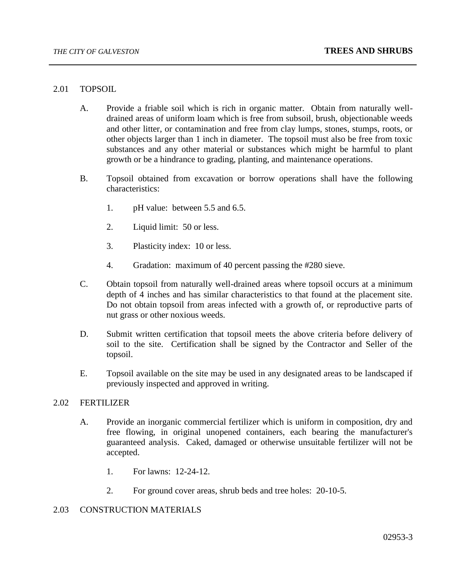## 2.01 TOPSOIL

- A. Provide a friable soil which is rich in organic matter. Obtain from naturally welldrained areas of uniform loam which is free from subsoil, brush, objectionable weeds and other litter, or contamination and free from clay lumps, stones, stumps, roots, or other objects larger than 1 inch in diameter. The topsoil must also be free from toxic substances and any other material or substances which might be harmful to plant growth or be a hindrance to grading, planting, and maintenance operations.
- B. Topsoil obtained from excavation or borrow operations shall have the following characteristics:
	- 1. pH value: between 5.5 and 6.5.
	- 2. Liquid limit: 50 or less.
	- 3. Plasticity index: 10 or less.
	- 4. Gradation: maximum of 40 percent passing the #280 sieve.
- C. Obtain topsoil from naturally well-drained areas where topsoil occurs at a minimum depth of 4 inches and has similar characteristics to that found at the placement site. Do not obtain topsoil from areas infected with a growth of, or reproductive parts of nut grass or other noxious weeds.
- D. Submit written certification that topsoil meets the above criteria before delivery of soil to the site. Certification shall be signed by the Contractor and Seller of the topsoil.
- E. Topsoil available on the site may be used in any designated areas to be landscaped if previously inspected and approved in writing.

## 2.02 FERTILIZER

- A. Provide an inorganic commercial fertilizer which is uniform in composition, dry and free flowing, in original unopened containers, each bearing the manufacturer's guaranteed analysis. Caked, damaged or otherwise unsuitable fertilizer will not be accepted.
	- 1. For lawns: 12-24-12.
	- 2. For ground cover areas, shrub beds and tree holes: 20-10-5.

## 2.03 CONSTRUCTION MATERIALS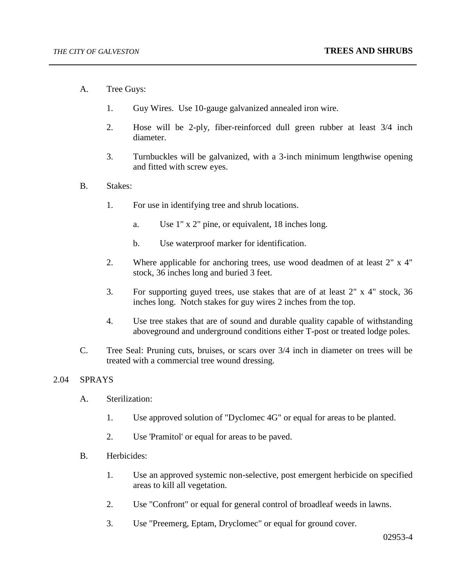- A. Tree Guys:
	- 1. Guy Wires. Use 10-gauge galvanized annealed iron wire.
	- 2. Hose will be 2-ply, fiber-reinforced dull green rubber at least 3/4 inch diameter.
	- 3. Turnbuckles will be galvanized, with a 3-inch minimum lengthwise opening and fitted with screw eyes.
- B. Stakes:
	- 1. For use in identifying tree and shrub locations.
		- a. Use 1" x 2" pine, or equivalent, 18 inches long.
		- b. Use waterproof marker for identification.
	- 2. Where applicable for anchoring trees, use wood deadmen of at least 2" x 4" stock, 36 inches long and buried 3 feet.
	- 3. For supporting guyed trees, use stakes that are of at least 2" x 4" stock, 36 inches long. Notch stakes for guy wires 2 inches from the top.
	- 4. Use tree stakes that are of sound and durable quality capable of withstanding aboveground and underground conditions either T-post or treated lodge poles.
- C. Tree Seal: Pruning cuts, bruises, or scars over 3/4 inch in diameter on trees will be treated with a commercial tree wound dressing.

# 2.04 SPRAYS

- A. Sterilization:
	- 1. Use approved solution of "Dyclomec 4G" or equal for areas to be planted.
	- 2. Use 'Pramitol' or equal for areas to be paved.
- B. Herbicides:
	- 1. Use an approved systemic non-selective, post emergent herbicide on specified areas to kill all vegetation.
	- 2. Use "Confront" or equal for general control of broadleaf weeds in lawns.
	- 3. Use "Preemerg, Eptam, Dryclomec" or equal for ground cover.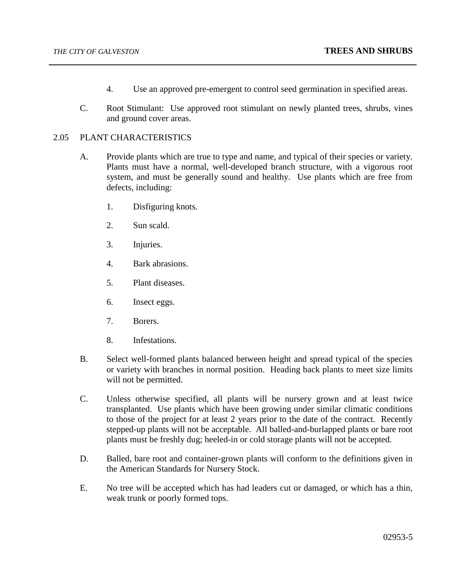- 4. Use an approved pre-emergent to control seed germination in specified areas.
- C. Root Stimulant: Use approved root stimulant on newly planted trees, shrubs, vines and ground cover areas.

# 2.05 PLANT CHARACTERISTICS

- A. Provide plants which are true to type and name, and typical of their species or variety. Plants must have a normal, well-developed branch structure, with a vigorous root system, and must be generally sound and healthy. Use plants which are free from defects, including:
	- 1. Disfiguring knots.
	- 2. Sun scald.
	- 3. Injuries.
	- 4. Bark abrasions.
	- 5. Plant diseases.
	- 6. Insect eggs.
	- 7. Borers.
	- 8. Infestations.
- B. Select well-formed plants balanced between height and spread typical of the species or variety with branches in normal position. Heading back plants to meet size limits will not be permitted.
- C. Unless otherwise specified, all plants will be nursery grown and at least twice transplanted. Use plants which have been growing under similar climatic conditions to those of the project for at least 2 years prior to the date of the contract. Recently stepped-up plants will not be acceptable. All balled-and-burlapped plants or bare root plants must be freshly dug; heeled-in or cold storage plants will not be accepted.
- D. Balled, bare root and container-grown plants will conform to the definitions given in the American Standards for Nursery Stock.
- E. No tree will be accepted which has had leaders cut or damaged, or which has a thin, weak trunk or poorly formed tops.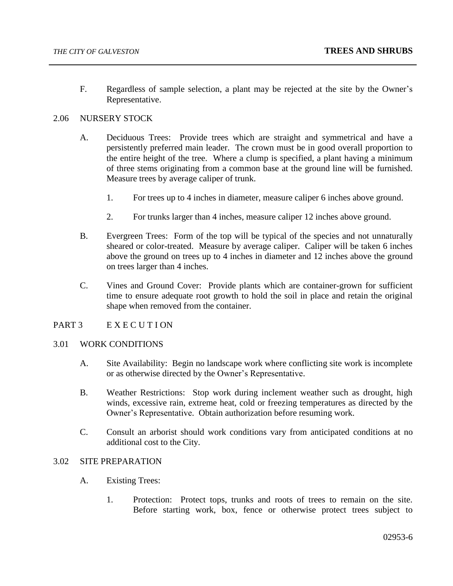F. Regardless of sample selection, a plant may be rejected at the site by the Owner's Representative.

# 2.06 NURSERY STOCK

- A. Deciduous Trees: Provide trees which are straight and symmetrical and have a persistently preferred main leader. The crown must be in good overall proportion to the entire height of the tree. Where a clump is specified, a plant having a minimum of three stems originating from a common base at the ground line will be furnished. Measure trees by average caliper of trunk.
	- 1. For trees up to 4 inches in diameter, measure caliper 6 inches above ground.
	- 2. For trunks larger than 4 inches, measure caliper 12 inches above ground.
- B. Evergreen Trees: Form of the top will be typical of the species and not unnaturally sheared or color-treated. Measure by average caliper. Caliper will be taken 6 inches above the ground on trees up to 4 inches in diameter and 12 inches above the ground on trees larger than 4 inches.
- C. Vines and Ground Cover: Provide plants which are container-grown for sufficient time to ensure adequate root growth to hold the soil in place and retain the original shape when removed from the container.

## PART 3 EXECUTION

# 3.01 WORK CONDITIONS

- A. Site Availability: Begin no landscape work where conflicting site work is incomplete or as otherwise directed by the Owner's Representative.
- B. Weather Restrictions: Stop work during inclement weather such as drought, high winds, excessive rain, extreme heat, cold or freezing temperatures as directed by the Owner's Representative. Obtain authorization before resuming work.
- C. Consult an arborist should work conditions vary from anticipated conditions at no additional cost to the City.

## 3.02 SITE PREPARATION

- A. Existing Trees:
	- 1. Protection: Protect tops, trunks and roots of trees to remain on the site. Before starting work, box, fence or otherwise protect trees subject to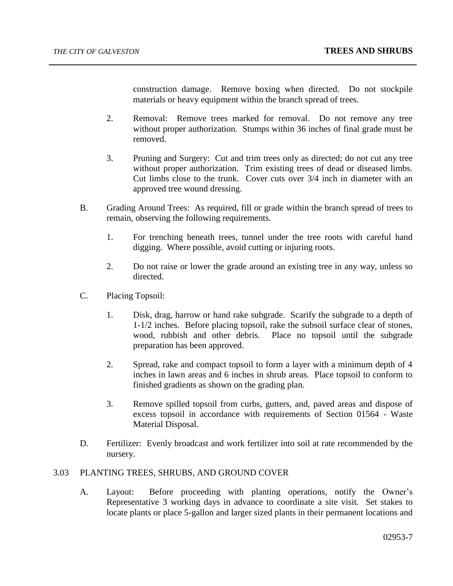construction damage. Remove boxing when directed. Do not stockpile materials or heavy equipment within the branch spread of trees.

- 2. Removal: Remove trees marked for removal. Do not remove any tree without proper authorization. Stumps within 36 inches of final grade must be removed.
- 3. Pruning and Surgery: Cut and trim trees only as directed; do not cut any tree without proper authorization. Trim existing trees of dead or diseased limbs. Cut limbs close to the trunk. Cover cuts over 3/4 inch in diameter with an approved tree wound dressing.
- B. Grading Around Trees: As required, fill or grade within the branch spread of trees to remain, observing the following requirements.
	- 1. For trenching beneath trees, tunnel under the tree roots with careful hand digging. Where possible, avoid cutting or injuring roots.
	- 2. Do not raise or lower the grade around an existing tree in any way, unless so directed.
- C. Placing Topsoil:
	- 1. Disk, drag, harrow or hand rake subgrade. Scarify the subgrade to a depth of 1-1/2 inches. Before placing topsoil, rake the subsoil surface clear of stones, wood, rubbish and other debris. Place no topsoil until the subgrade preparation has been approved.
	- 2. Spread, rake and compact topsoil to form a layer with a minimum depth of 4 inches in lawn areas and 6 inches in shrub areas. Place topsoil to conform to finished gradients as shown on the grading plan.
	- 3. Remove spilled topsoil from curbs, gutters, and, paved areas and dispose of excess topsoil in accordance with requirements of Section 01564 - Waste Material Disposal.
- D. Fertilizer: Evenly broadcast and work fertilizer into soil at rate recommended by the nursery.

# 3.03 PLANTING TREES, SHRUBS, AND GROUND COVER

A. Layout: Before proceeding with planting operations, notify the Owner's Representative 3 working days in advance to coordinate a site visit. Set stakes to locate plants or place 5-gallon and larger sized plants in their permanent locations and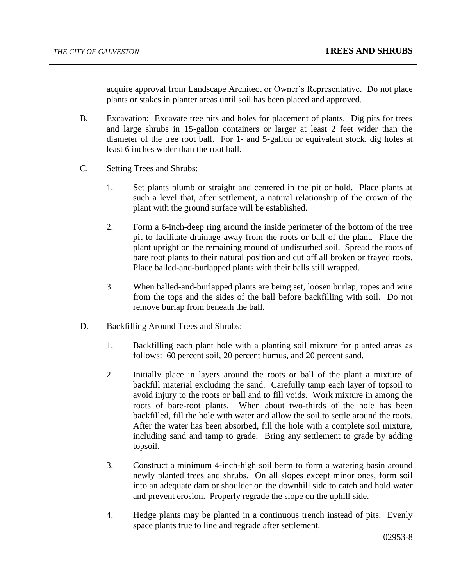acquire approval from Landscape Architect or Owner's Representative. Do not place plants or stakes in planter areas until soil has been placed and approved.

- B. Excavation: Excavate tree pits and holes for placement of plants. Dig pits for trees and large shrubs in 15-gallon containers or larger at least 2 feet wider than the diameter of the tree root ball. For 1- and 5-gallon or equivalent stock, dig holes at least 6 inches wider than the root ball.
- C. Setting Trees and Shrubs:
	- 1. Set plants plumb or straight and centered in the pit or hold. Place plants at such a level that, after settlement, a natural relationship of the crown of the plant with the ground surface will be established.
	- 2. Form a 6-inch-deep ring around the inside perimeter of the bottom of the tree pit to facilitate drainage away from the roots or ball of the plant. Place the plant upright on the remaining mound of undisturbed soil. Spread the roots of bare root plants to their natural position and cut off all broken or frayed roots. Place balled-and-burlapped plants with their balls still wrapped.
	- 3. When balled-and-burlapped plants are being set, loosen burlap, ropes and wire from the tops and the sides of the ball before backfilling with soil. Do not remove burlap from beneath the ball.
- D. Backfilling Around Trees and Shrubs:
	- 1. Backfilling each plant hole with a planting soil mixture for planted areas as follows: 60 percent soil, 20 percent humus, and 20 percent sand.
	- 2. Initially place in layers around the roots or ball of the plant a mixture of backfill material excluding the sand. Carefully tamp each layer of topsoil to avoid injury to the roots or ball and to fill voids. Work mixture in among the roots of bare-root plants. When about two-thirds of the hole has been backfilled, fill the hole with water and allow the soil to settle around the roots. After the water has been absorbed, fill the hole with a complete soil mixture, including sand and tamp to grade. Bring any settlement to grade by adding topsoil.
	- 3. Construct a minimum 4-inch-high soil berm to form a watering basin around newly planted trees and shrubs. On all slopes except minor ones, form soil into an adequate dam or shoulder on the downhill side to catch and hold water and prevent erosion. Properly regrade the slope on the uphill side.
	- 4. Hedge plants may be planted in a continuous trench instead of pits. Evenly space plants true to line and regrade after settlement.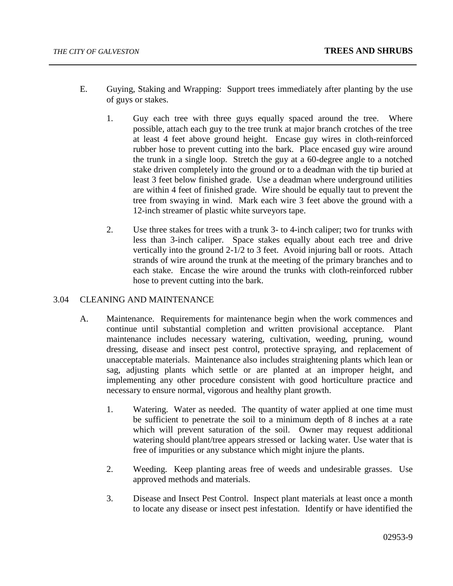- E. Guying, Staking and Wrapping: Support trees immediately after planting by the use of guys or stakes.
	- 1. Guy each tree with three guys equally spaced around the tree. Where possible, attach each guy to the tree trunk at major branch crotches of the tree at least 4 feet above ground height. Encase guy wires in cloth-reinforced rubber hose to prevent cutting into the bark. Place encased guy wire around the trunk in a single loop. Stretch the guy at a 60-degree angle to a notched stake driven completely into the ground or to a deadman with the tip buried at least 3 feet below finished grade. Use a deadman where underground utilities are within 4 feet of finished grade. Wire should be equally taut to prevent the tree from swaying in wind. Mark each wire 3 feet above the ground with a 12-inch streamer of plastic white surveyors tape.
	- 2. Use three stakes for trees with a trunk 3- to 4-inch caliper; two for trunks with less than 3-inch caliper. Space stakes equally about each tree and drive vertically into the ground 2-1/2 to 3 feet. Avoid injuring ball or roots. Attach strands of wire around the trunk at the meeting of the primary branches and to each stake. Encase the wire around the trunks with cloth-reinforced rubber hose to prevent cutting into the bark.

# 3.04 CLEANING AND MAINTENANCE

- A. Maintenance. Requirements for maintenance begin when the work commences and continue until substantial completion and written provisional acceptance. Plant maintenance includes necessary watering, cultivation, weeding, pruning, wound dressing, disease and insect pest control, protective spraying, and replacement of unacceptable materials. Maintenance also includes straightening plants which lean or sag, adjusting plants which settle or are planted at an improper height, and implementing any other procedure consistent with good horticulture practice and necessary to ensure normal, vigorous and healthy plant growth.
	- 1. Watering. Water as needed. The quantity of water applied at one time must be sufficient to penetrate the soil to a minimum depth of 8 inches at a rate which will prevent saturation of the soil. Owner may request additional watering should plant/tree appears stressed or lacking water. Use water that is free of impurities or any substance which might injure the plants.
	- 2. Weeding. Keep planting areas free of weeds and undesirable grasses. Use approved methods and materials.
	- 3. Disease and Insect Pest Control. Inspect plant materials at least once a month to locate any disease or insect pest infestation. Identify or have identified the